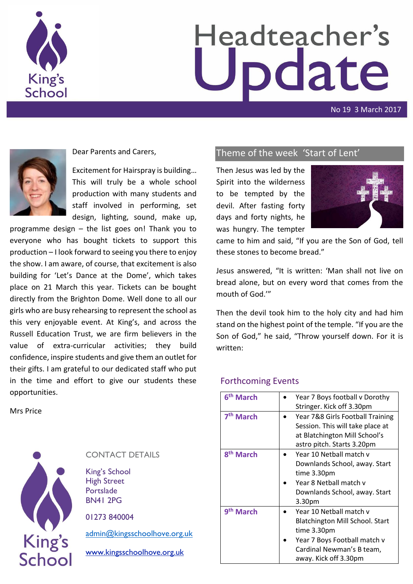

# Headteacher's pdate

No 19 3 March 2017



Dear Parents and Carers,

Excitement for Hairspray is building… This will truly be a whole school production with many students and staff involved in performing, set design, lighting, sound, make up,

programme design – the list goes on! Thank you to everyone who has bought tickets to support this production – I look forward to seeing you there to enjoy the show. I am aware, of course, that excitement is also building for 'Let's Dance at the Dome', which takes place on 21 March this year. Tickets can be bought directly from the Brighton Dome. Well done to all our girls who are busy rehearsing to represent the school as this very enjoyable event. At King's, and across the Russell Education Trust, we are firm believers in the value of extra-curricular activities; they build confidence, inspire students and give them an outlet for their gifts. I am grateful to our dedicated staff who put in the time and effort to give our students these opportunities.

Mrs Price



### CONTACT DETAILS

King's School High Street Portslade BN41 2PG

01273 840004

[admin@kingsschoolhove.org.uk](mailto:admin@kingsschoolhove.org.uk)

[www.kingsschoolhove.org.uk](http://www.kingsschoolhove.org.uk/)

## Theme of the week 'Start of Lent'

Then Jesus was led by the Spirit into the wilderness to be tempted by the devil. After fasting forty days and forty nights, he was hungry. The tempter



came to him and said, "If you are the Son of God, tell these stones to become bread."

Jesus answered, "It is written: 'Man shall not live on bread alone, but on every word that comes from the mouth of God.'"

Then the devil took him to the holy city and had him stand on the highest point of the temple. "If you are the Son of God," he said, "Throw yourself down. For it is written:

#### Forthcoming Events

| 6 <sup>th</sup> March | Year 7 Boys football v Dorothy<br>Stringer. Kick off 3.30pm                                                                                                            |
|-----------------------|------------------------------------------------------------------------------------------------------------------------------------------------------------------------|
| 7 <sup>th</sup> March | Year 7&8 Girls Football Training<br>Session. This will take place at<br>at Blatchington Mill School's<br>astro pitch. Starts 3.20pm                                    |
| 8 <sup>th</sup> March | Year 10 Netball match v<br>Downlands School, away. Start<br>time 3.30pm<br>Year 8 Netball match v<br>Downlands School, away. Start<br>3.30pm                           |
| 9 <sup>th</sup> March | Year 10 Netball match v<br><b>Blatchington Mill School. Start</b><br>time 3.30pm<br>Year 7 Boys Football match v<br>Cardinal Newman's B team,<br>away. Kick off 3.30pm |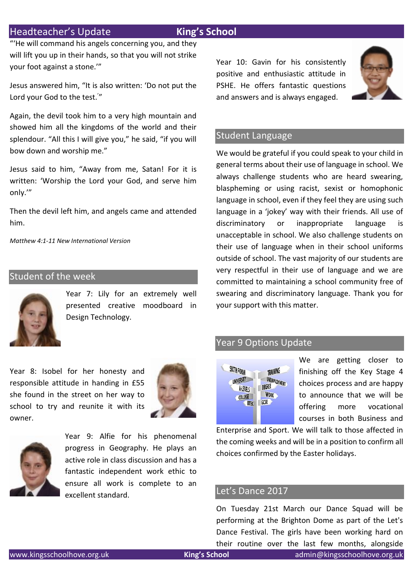## Headteacher's Update **King's School**

"'He will command his angels concerning you, and they will lift you up in their hands, so that you will not strike your foot against a stone.'"

Jesus answered him, "It is also written: 'Do not put the Lord your God to the test.' "

Again, the devil took him to a very high mountain and showed him all the kingdoms of the world and their splendour. "All this I will give you," he said, "if you will bow down and worship me."

Jesus said to him, "Away from me, Satan! For it is written: 'Worship the Lord your God, and serve him only.'"

Then the devil left him, and angels came and attended him.

*Matthew 4:1-11 New International Version*

#### Student of the week



Year 7: Lily for an extremely well presented creative moodboard in Design Technology.

Year 10: Gavin for his consistently positive and enthusiastic attitude in PSHE. He offers fantastic questions and answers and is always engaged.



#### Student Language

We would be grateful if you could speak to your child in general terms about their use of language in school. We always challenge students who are heard swearing, blaspheming or using racist, sexist or homophonic language in school, even if they feel they are using such language in a 'jokey' way with their friends. All use of discriminatory or inappropriate language is unacceptable in school. We also challenge students on their use of language when in their school uniforms outside of school. The vast majority of our students are very respectful in their use of language and we are committed to maintaining a school community free of swearing and discriminatory language. Thank you for your support with this matter.

#### Year 9 Options Update



We are getting closer to finishing off the Key Stage 4 choices process and are happy to announce that we will be offering more vocational courses in both Business and

Enterprise and Sport. We will talk to those affected in the coming weeks and will be in a position to confirm all choices confirmed by the Easter holidays.

#### Let's Dance 2017

On Tuesday 21st March our Dance Squad will be performing at the Brighton Dome as part of the Let's Dance Festival. The girls have been working hard on their routine over the last few months, alongside

Year 8: Isobel for her honesty and responsible attitude in handing in £55 she found in the street on her way to school to try and reunite it with its owner.





Year 9: Alfie for his phenomenal progress in Geography. He plays an active role in class discussion and has a fantastic independent work ethic to ensure all work is complete to an excellent standard.